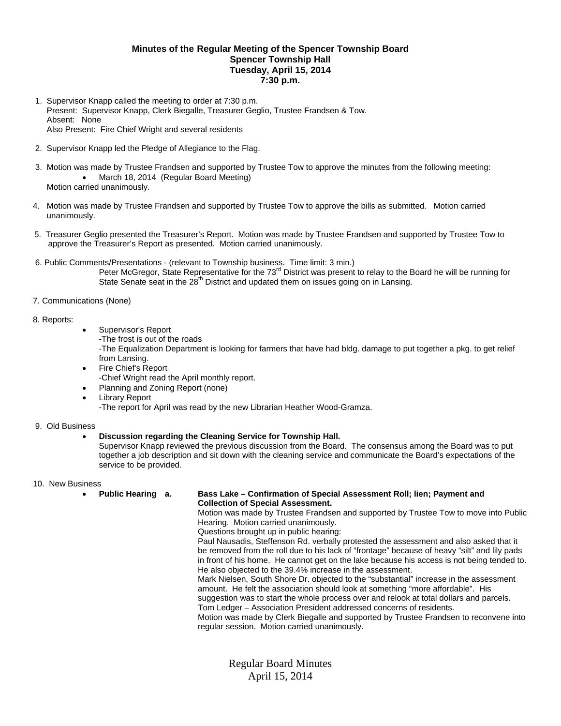## **Minutes of the Regular Meeting of the Spencer Township Board Spencer Township Hall Tuesday, April 15, 2014 7:30 p.m.**

- 1. Supervisor Knapp called the meeting to order at 7:30 p.m. Present: Supervisor Knapp, Clerk Biegalle, Treasurer Geglio, Trustee Frandsen & Tow. Absent: None Also Present: Fire Chief Wright and several residents
- 2. Supervisor Knapp led the Pledge of Allegiance to the Flag.
- 3. Motion was made by Trustee Frandsen and supported by Trustee Tow to approve the minutes from the following meeting: • March 18, 2014 (Regular Board Meeting) Motion carried unanimously.
- 4. Motion was made by Trustee Frandsen and supported by Trustee Tow to approve the bills as submitted. Motion carried unanimously.
- 5. Treasurer Geglio presented the Treasurer's Report. Motion was made by Trustee Frandsen and supported by Trustee Tow to approve the Treasurer's Report as presented. Motion carried unanimously.
- 6. Public Comments/Presentations (relevant to Township business. Time limit: 3 min.) Peter McGregor, State Representative for the 73<sup>rd</sup> District was present to relay to the Board he will be running for State Senate seat in the 28<sup>th</sup> District and updated them on issues going on in Lansing.
- 7. Communications (None)

## 8. Reports:

- Supervisor's Report
	- -The frost is out of the roads

-The Equalization Department is looking for farmers that have had bldg. damage to put together a pkg. to get relief from Lansing.

Fire Chief's Report

-Chief Wright read the April monthly report.

- Planning and Zoning Report (none)
- Library Report

-The report for April was read by the new Librarian Heather Wood-Gramza.

#### 9. Old Business

# **Discussion regarding the Cleaning Service for Township Hall.**

Supervisor Knapp reviewed the previous discussion from the Board. The consensus among the Board was to put together a job description and sit down with the cleaning service and communicate the Board's expectations of the service to be provided.

10. New Business

#### **Public Hearing a. Bass Lake – Confirmation of Special Assessment Roll; lien; Payment and Collection of Special Assessment.**

Motion was made by Trustee Frandsen and supported by Trustee Tow to move into Public Hearing. Motion carried unanimously.

Questions brought up in public hearing:

Paul Nausadis, Steffenson Rd. verbally protested the assessment and also asked that it be removed from the roll due to his lack of "frontage" because of heavy "silt" and lily pads in front of his home. He cannot get on the lake because his access is not being tended to. He also objected to the 39.4% increase in the assessment.

Mark Nielsen, South Shore Dr. objected to the "substantial" increase in the assessment amount. He felt the association should look at something "more affordable". His suggestion was to start the whole process over and relook at total dollars and parcels.

Tom Ledger – Association President addressed concerns of residents.

 Motion was made by Clerk Biegalle and supported by Trustee Frandsen to reconvene into regular session. Motion carried unanimously.

Regular Board Minutes April 15, 2014